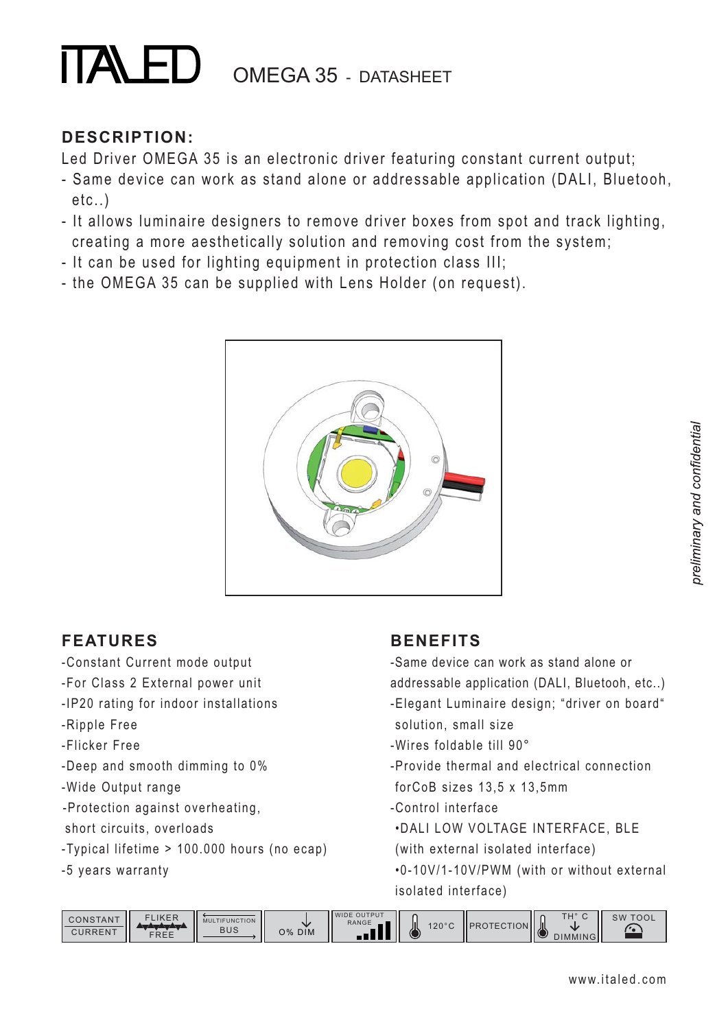## **TALED** OMEGA 35 - DATASHEET

#### **DESCRIPTION:**

Led Driver OMEGA 35 is an electronic driver featuring constant current output;

- Same device can work as stand alone or addressable application (DALI, Bluetooh, etc..)
- It allows luminaire designers to remove driver boxes from spot and track lighting, creating a more aesthetically solution and removing cost from the system;
- It can be used for lighting equipment in protection class III;
- the OMEGA 35 can be supplied with Lens Holder (on request).



#### **FEATURES**

- -Constant Current mode output
- -For Class 2 External power unit
- -IP20 rating for indoor installations
- -Ripple Free
- -Flicker Free
- -Deep and smooth dimming to 0%
- -Wide Output range
- -Protection against overheating,
- short circuits, overloads
- -Typical lifetime > 100.000 hours (no ecap)
- -5 years warranty

#### **BENEFITS**

- -Same device can work as stand alone or addressable application (DALI, Bluetooh, etc..) -Elegant Luminaire design; "driver on board"
- solution, small size
- -Wires foldable till 90°
- -Provide thermal and electrical connection forCoB sizes 13,5 x 13,5mm
- -Control interface
- .DALI LOW VOLTAGE INTERFACE, BLE
- (with external isolated interface)
- .0-10V/1-10V/PWM (with or without external isolated interface)

| CONSTANT<br><b>CURRENT</b> | <b>IKER</b><br>FΙ<br>FREE | TIFUNCTION<br>MULT<br><b>BUS</b> | w<br>O% DIM | <b>WIDE OUTPUT</b><br><b>RANGE</b> | Щ<br>120°C<br>ື | TION IL<br>TEC1 | T110<br>$\sim$<br>-Jil<br>1 C<br>חור<br>⋯ | <b>TOOL</b><br>SW |
|----------------------------|---------------------------|----------------------------------|-------------|------------------------------------|-----------------|-----------------|-------------------------------------------|-------------------|
|----------------------------|---------------------------|----------------------------------|-------------|------------------------------------|-----------------|-----------------|-------------------------------------------|-------------------|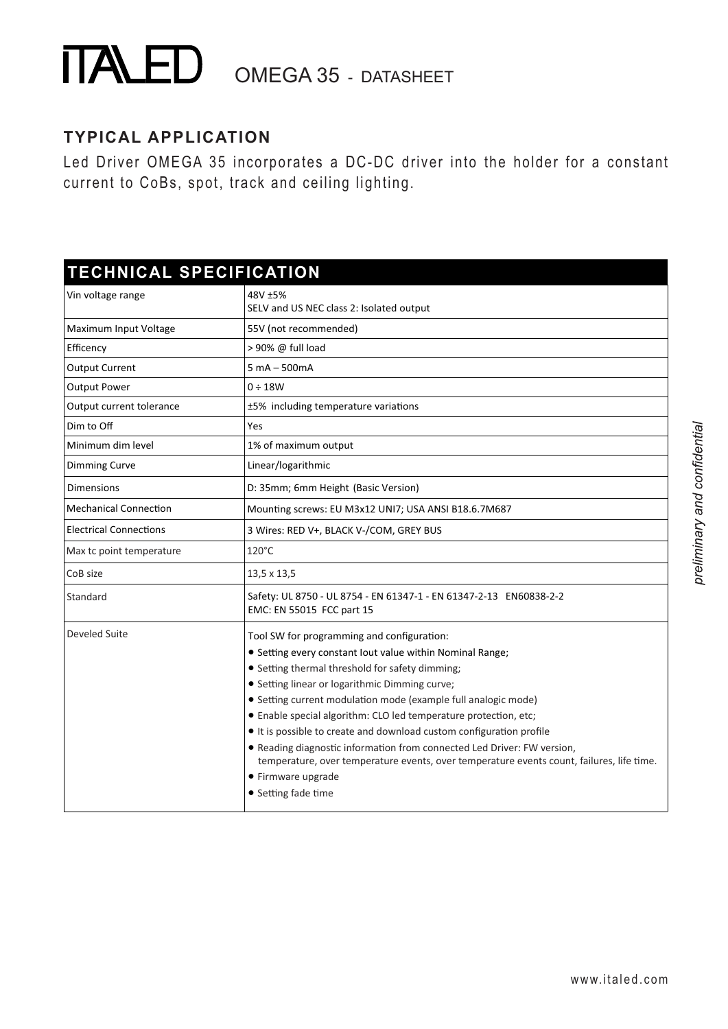# **TALED** OMEGA 35 - DATASHEET

#### **TYPICAL APPLICATION**

Led Driver OMEGA 35 incorporates a DC-DC driver into the holder for a constant current to CoBs, spot, track and ceiling lighting.

## **TECHNICAL SPECIFICATION**

| Vin voltage range             | 48V ±5%<br>SELV and US NEC class 2: Isolated output                                                                                                                  |
|-------------------------------|----------------------------------------------------------------------------------------------------------------------------------------------------------------------|
| Maximum Input Voltage         | 55V (not recommended)                                                                                                                                                |
| Efficency                     | > 90% @ full load                                                                                                                                                    |
| <b>Output Current</b>         | $5 mA - 500 mA$                                                                                                                                                      |
| <b>Output Power</b>           | $0 \div 18W$                                                                                                                                                         |
| Output current tolerance      | ±5% including temperature variations                                                                                                                                 |
| Dim to Off                    | Yes                                                                                                                                                                  |
| Minimum dim level             | 1% of maximum output                                                                                                                                                 |
| Dimming Curve                 | Linear/logarithmic                                                                                                                                                   |
| Dimensions                    | D: 35mm; 6mm Height (Basic Version)                                                                                                                                  |
| <b>Mechanical Connection</b>  | Mounting screws: EU M3x12 UNI7; USA ANSI B18.6.7M687                                                                                                                 |
| <b>Electrical Connections</b> | 3 Wires: RED V+, BLACK V-/COM, GREY BUS                                                                                                                              |
| Max tc point temperature      | $120^{\circ}$ C                                                                                                                                                      |
| CoB size                      | 13,5 x 13,5                                                                                                                                                          |
| Standard                      | Safety: UL 8750 - UL 8754 - EN 61347-1 - EN 61347-2-13 EN60838-2-2<br>EMC: EN 55015 FCC part 15                                                                      |
| Develed Suite                 | Tool SW for programming and configuration:                                                                                                                           |
|                               | • Setting every constant lout value within Nominal Range;                                                                                                            |
|                               | • Setting thermal threshold for safety dimming;                                                                                                                      |
|                               | • Setting linear or logarithmic Dimming curve;                                                                                                                       |
|                               | • Setting current modulation mode (example full analogic mode)                                                                                                       |
|                               | • Enable special algorithm: CLO led temperature protection, etc;                                                                                                     |
|                               | It is possible to create and download custom configuration profile                                                                                                   |
|                               | • Reading diagnostic information from connected Led Driver: FW version,<br>temperature, over temperature events, over temperature events count, failures, life time. |
|                               | • Firmware upgrade                                                                                                                                                   |
|                               | • Setting fade time                                                                                                                                                  |
|                               |                                                                                                                                                                      |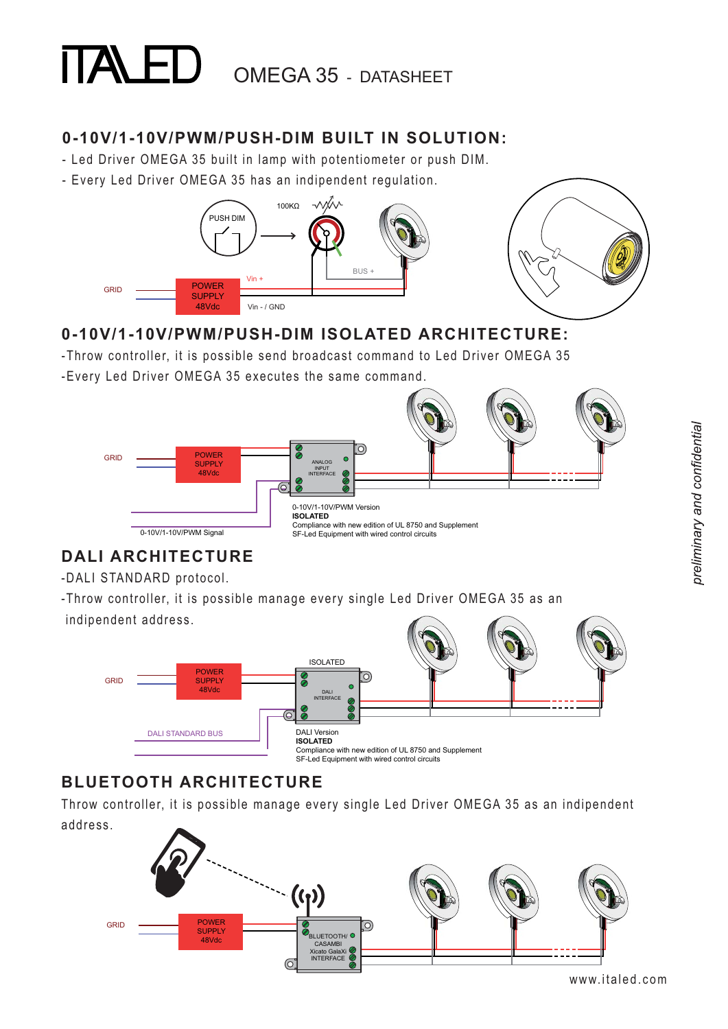# OMEGA 35 - DATASHEET

#### **0-10V/1-10V/PWM/PUSH-DIM BUILT IN SOLUTION:**

- Led Driver OMEGA 35 built in lamp with potentiometer or push DIM.
- Every Led Driver OMEGA 35 has an indipendent regulation.



#### **0-10V/1-10V/PWM/PUSH-DIM ISOLATED ARCHITECTURE:**

-Throw controller, it is possible send broadcast command to Led Driver OMEGA 35

-Every Led Driver OMEGA 35 executes the same command.



#### **DALI ARCHITECTURE**

-DALI STANDARD protocol.

-Throw controller, it is possible manage every single Led Driver OMEGA 35 as an indipendent address.



### **BLUETOOTH ARCHITECTURE**

Throw controller, it is possible manage every single Led Driver OMEGA 35 as an indipendent address.